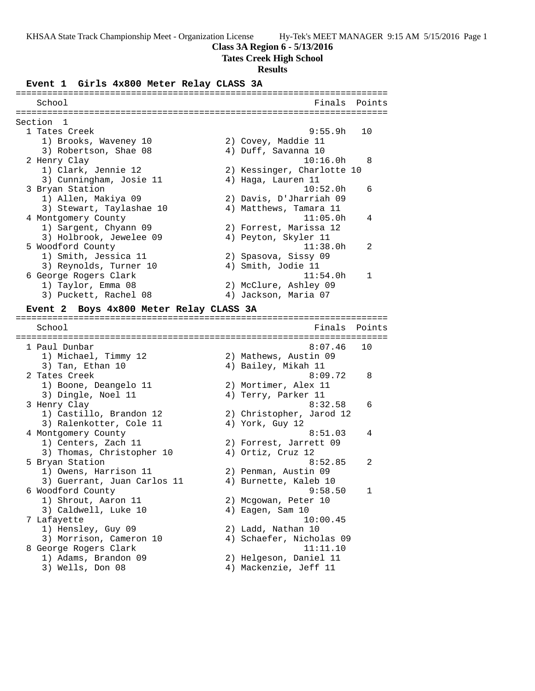### **Class 3A Region 6 - 5/13/2016**

#### **Tates Creek High School**

#### **Results**

#### **Event 1 Girls 4x800 Meter Relay CLASS 3A**

======================================================================= School **Finals** Points ======================================================================= Section 1 1 Tates Creek 9:55.9h 10 1) Brooks, Waveney 10 2) Covey, Maddie 11 3) Robertson, Shae 08 (4) Duff, Savanna 10 2 Henry Clay 10:16.0h 8 1) Clark, Jennie 12 2) Kessinger, Charlotte 10 3) Cunningham, Josie 11 (4) Haga, Lauren 11 3 Bryan Station 10:52.0h 6 1) Allen, Makiya 09 2) Davis, D'Jharriah 09 3) Stewart, Taylashae 10 4) Matthews, Tamara 11 4 Montgomery County 11:05.0h 4 1) Sargent, Chyann 09 2) Forrest, Marissa 12 3) Holbrook, Jewelee 09 <a>> 4) Peyton, Skyler 11 5 Woodford County 11:38.0h 2 1) Smith, Jessica 11 2) Spasova, Sissy 09 3) Reynolds, Turner 10 (4) Smith, Jodie 11 6 George Rogers Clark 11:54.0h 1 1) Taylor, Emma 08 2) McClure, Ashley 09 3) Puckett, Rachel 08 (4) Jackson, Maria 07 **Event 2 Boys 4x800 Meter Relay CLASS 3A** ======================================================================= School **Finals** Points ======================================================================= 1 Paul Dunbar 8:07.46 10 1) Michael, Timmy 12 2) Mathews, Austin 09 3) Tan, Ethan 10  $\hskip1cm$  4) Bailey, Mikah 11 2 Tates Creek 8:09.72 8 1) Boone, Deangelo 11 and 2) Mortimer, Alex 11 3) Dingle, Noel 11 (4) Terry, Parker 11 3 Henry Clay 8:32.58 6 1) Castillo, Brandon 12 2) Christopher, Jarod 12 3) Ralenkotter, Cole 11 <a>4) York, Guy 12 4 Montgomery County  $8:51.03$  4 1) Centers, Zach 11 2) Forrest, Jarrett 09 3) Thomas, Christopher 10 4) Ortiz, Cruz 12 5 Bryan Station 8:52.85 2 1) Owens, Harrison 11 and 2) Penman, Austin 09 3) Guerrant, Juan Carlos 11 4) Burnette, Kaleb 10

 6 Woodford County 9:58.50 1 1) Shrout, Aaron 11 2) Mcgowan, Peter 10 3) Caldwell, Luke 10 (4) Eagen, Sam 10 7 Lafayette 10:00.45 1) Hensley, Guy 09 2) Ladd, Nathan 10

- 3) Morrison, Cameron 10 4) Schaefer, Nicholas 09 8 George Rogers Clark 11:11.10
	-
- 1) Adams, Brandon 09 2) Helgeson, Daniel 11 3) Wells, Don 08 4) Mackenzie, Jeff 11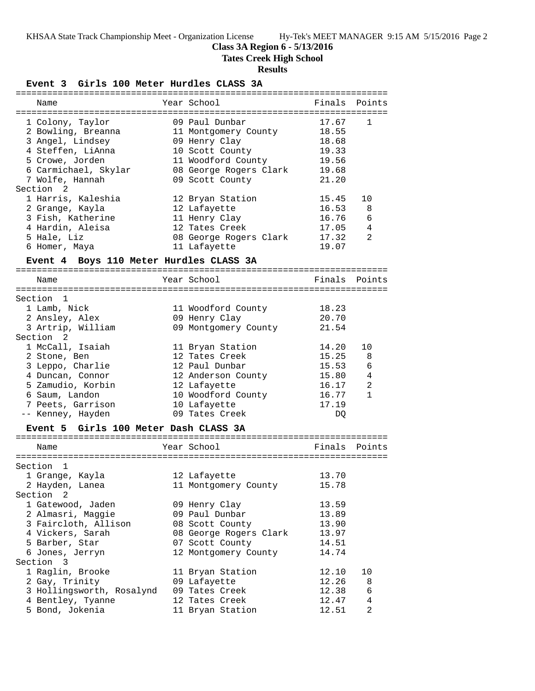# **Class 3A Region 6 - 5/13/2016**

**Tates Creek High School**

# **Results**

**Event 3 Girls 100 Meter Hurdles CLASS 3A**

| Name                                    | Year School                       | Finals | Points       |
|-----------------------------------------|-----------------------------------|--------|--------------|
| =====================================   | ================================= |        |              |
| 1 Colony, Taylor                        | 09 Paul Dunbar                    | 17.67  | 1            |
| 2 Bowling, Breanna                      | 11 Montgomery County              | 18.55  |              |
| 3 Angel, Lindsey                        | 09 Henry Clay                     | 18.68  |              |
| 4 Steffen, LiAnna                       | 10 Scott County                   | 19.33  |              |
| 5 Crowe, Jorden                         | 11 Woodford County                | 19.56  |              |
| 6 Carmichael, Skylar                    | 08 George Rogers Clark            | 19.68  |              |
| 7 Wolfe, Hannah                         | 09 Scott County                   | 21.20  |              |
| Section 2                               |                                   |        |              |
| 1 Harris, Kaleshia                      | 12 Bryan Station                  | 15.45  | 10           |
| 2 Grange, Kayla                         | 12 Lafayette                      | 16.53  | 8            |
| 3 Fish, Katherine                       | 11 Henry Clay                     | 16.76  | 6            |
| 4 Hardin, Aleisa                        | 12 Tates Creek                    | 17.05  | 4            |
| 5 Hale, Liz                             | 08 George Rogers Clark            | 17.32  | 2            |
| 6 Homer, Maya                           | 11 Lafayette                      | 19.07  |              |
|                                         |                                   |        |              |
| Event 4 Boys 110 Meter Hurdles CLASS 3A |                                   |        |              |
| Name                                    | Year School                       | Finals | Points       |
|                                         |                                   |        |              |
| Section<br>1                            |                                   |        |              |
| 1 Lamb, Nick                            | 11 Woodford County                | 18.23  |              |
| 2 Ansley, Alex                          | 09 Henry Clay                     | 20.70  |              |
| 3 Artrip, William                       | 09 Montgomery County              | 21.54  |              |
| Section <sub>2</sub>                    |                                   |        |              |
| 1 McCall, Isaiah                        | 11 Bryan Station                  | 14.20  | 10           |
| 2 Stone, Ben                            | 12 Tates Creek                    | 15.25  | 8            |
| 3 Leppo, Charlie                        | 12 Paul Dunbar                    | 15.53  | 6            |
| 4 Duncan, Connor                        | 12 Anderson County                | 15.80  | 4            |
| 5 Zamudio, Korbin                       | 12 Lafayette                      | 16.17  | 2            |
|                                         |                                   | 16.77  | $\mathbf{1}$ |
| 6 Saum, Landon                          | 10 Woodford County                | 17.19  |              |
| 7 Peets, Garrison                       | 10 Lafayette                      |        |              |
| -- Kenney, Hayden                       | 09 Tates Creek                    | DQ     |              |
| Event 5 Girls 100 Meter Dash CLASS 3A   |                                   |        |              |
| Name                                    | Year School                       | Finals | Points       |
|                                         |                                   |        |              |
| Section<br>1                            |                                   |        |              |
| 1 Grange, Kayla                         | 12 Lafayette                      | 13.70  |              |
| 2 Hayden, Lanea                         | 11 Montgomery County              | 15.78  |              |
| Section 2                               |                                   |        |              |
| 1 Gatewood, Jaden                       | 09 Henry Clay                     | 13.59  |              |
| 2 Almasri, Maggie                       | 09 Paul Dunbar                    | 13.89  |              |
| 3 Faircloth, Allison                    | 08 Scott County                   | 13.90  |              |
| 4 Vickers, Sarah                        |                                   |        |              |
|                                         | 08 George Rogers Clark            | 13.97  |              |
| 5 Barber, Star                          | 07 Scott County                   | 14.51  |              |
| 6 Jones, Jerryn                         | 12 Montgomery County              | 14.74  |              |
| Section 3                               |                                   |        |              |
| 1 Raglin, Brooke                        | 11 Bryan Station                  | 12.10  | 10           |
| 2 Gay, Trinity                          | 09 Lafayette                      | 12.26  | 8            |
| 3 Hollingsworth, Rosalynd               | 09 Tates Creek                    | 12.38  | 6            |
| 4 Bentley, Tyanne                       | 12 Tates Creek                    | 12.47  | 4            |
| 5 Bond, Jokenia                         | 11 Bryan Station                  | 12.51  | 2            |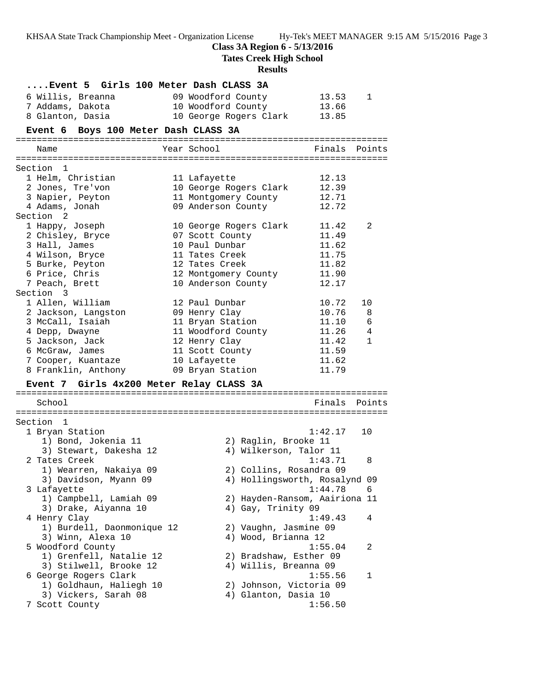**Class 3A Region 6 - 5/13/2016**

**Tates Creek High School**

# **Results**

| Event 5  Girls 100 Meter Dash CLASS 3A<br>6 Willis, Breanna<br>7 Addams, Dakota<br>8 Glanton, Dasia | 09 Woodford County<br>10 Woodford County<br>10 George Rogers Clark | 13.53<br>13.66<br>13.85          | 1            |
|-----------------------------------------------------------------------------------------------------|--------------------------------------------------------------------|----------------------------------|--------------|
| Event 6 Boys 100 Meter Dash CLASS 3A                                                                |                                                                    |                                  |              |
| Name                                                                                                | Year School                                                        | Finals                           | Points       |
| Section 1                                                                                           |                                                                    |                                  |              |
| 1 Helm, Christian                                                                                   | 11 Lafayette                                                       | 12.13                            |              |
| 2 Jones, Tre'von                                                                                    | 10 George Rogers Clark                                             | 12.39                            |              |
| 3 Napier, Peyton                                                                                    | 11 Montgomery County                                               | 12.71                            |              |
| 4 Adams, Jonah                                                                                      | 09 Anderson County                                                 | 12.72                            |              |
| Section <sub>2</sub>                                                                                |                                                                    |                                  |              |
| 1 Happy, Joseph                                                                                     | 10 George Rogers Clark                                             | 11.42                            | 2            |
| 2 Chisley, Bryce<br>3 Hall, James                                                                   | 07 Scott County<br>10 Paul Dunbar                                  | 11.49<br>11.62                   |              |
| 4 Wilson, Bryce                                                                                     | 11 Tates Creek                                                     | 11.75                            |              |
| 5 Burke, Peyton                                                                                     | 12 Tates Creek                                                     | 11.82                            |              |
| 6 Price, Chris                                                                                      | 12 Montgomery County                                               | 11.90                            |              |
| 7 Peach, Brett                                                                                      | 10 Anderson County                                                 | 12.17                            |              |
| Section 3                                                                                           |                                                                    |                                  |              |
| 1 Allen, William                                                                                    | 12 Paul Dunbar                                                     | 10.72                            | 10           |
| 2 Jackson, Langston                                                                                 | 09 Henry Clay                                                      | 10.76                            | 8            |
| 3 McCall, Isaiah                                                                                    | 11 Bryan Station                                                   | 11.10                            | 6            |
| 4 Depp, Dwayne                                                                                      | 11 Woodford County                                                 | 11.26                            | 4            |
| 5 Jackson, Jack                                                                                     | 12 Henry Clay                                                      | 11.42                            | $\mathbf{1}$ |
| 6 McGraw, James                                                                                     | 11 Scott County                                                    | 11.59                            |              |
| 7 Cooper, Kuantaze                                                                                  | 10 Lafayette                                                       | 11.62                            |              |
| 8 Franklin, Anthony                                                                                 | 09 Bryan Station                                                   | 11.79                            |              |
| Event 7 Girls 4x200 Meter Relay CLASS 3A                                                            |                                                                    |                                  |              |
| School                                                                                              |                                                                    | Finals                           | Points       |
| Section 1                                                                                           |                                                                    |                                  |              |
| 1 Bryan Station                                                                                     |                                                                    | 1:42.17                          | 10           |
| 1) Bond, Jokenia 11                                                                                 | 2) Raglin, Brooke 11                                               |                                  |              |
| 3) Stewart, Dakesha 12                                                                              |                                                                    | 4) Wilkerson, Talor 11           |              |
| 2 Tates Creek                                                                                       |                                                                    | 1:43.71                          | 8            |
| 1) Wearren, Nakaiya 09                                                                              |                                                                    | 2) Collins, Rosandra 09          |              |
| 3) Davidson, Myann 09                                                                               |                                                                    | 4) Hollingsworth, Rosalynd 09    |              |
| 3 Lafayette                                                                                         |                                                                    | 1:44.78                          | 6            |
| 1) Campbell, Lamiah 09                                                                              |                                                                    | 2) Hayden-Ransom, Aairiona 11    |              |
| 3) Drake, Aiyanna 10                                                                                | 4) Gay, Trinity 09                                                 |                                  |              |
| 4 Henry Clay                                                                                        |                                                                    | 1:49.43                          | 4            |
| 1) Burdell, Daonmonique 12                                                                          |                                                                    | 2) Vaughn, Jasmine 09            |              |
| 3) Winn, Alexa 10                                                                                   | 4) Wood, Brianna 12                                                |                                  |              |
| 5 Woodford County                                                                                   |                                                                    | 1:55.04                          | 2            |
| 1) Grenfell, Natalie 12<br>3) Stilwell, Brooke 12                                                   |                                                                    | 2) Bradshaw, Esther 09           |              |
| 6 George Rogers Clark                                                                               |                                                                    | 4) Willis, Breanna 09<br>1:55.56 | 1            |
| 1) Goldhaun, Haliegh 10                                                                             |                                                                    | 2) Johnson, Victoria 09          |              |
| 3) Vickers, Sarah 08                                                                                | 4) Glanton, Dasia 10                                               |                                  |              |
| 7 Scott County                                                                                      |                                                                    | 1:56.50                          |              |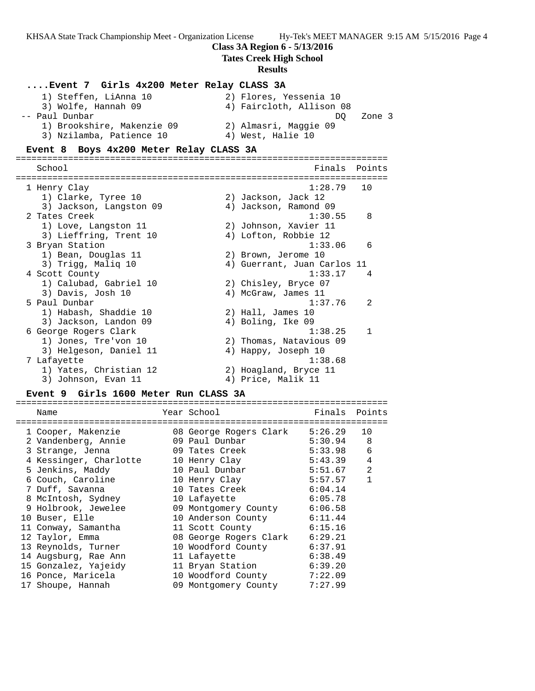### **Class 3A Region 6 - 5/13/2016**

### **Tates Creek High School**

#### **Results**

# **....Event 7 Girls 4x200 Meter Relay CLASS 3A**

| 1) Steffen, LiAnna 10      | 2) Flores, Yessenia 10   |
|----------------------------|--------------------------|
| 3) Wolfe, Hannah 09        | 4) Faircloth, Allison 08 |
| -- Paul Dunbar             | Zone 3<br>DO.            |
| 1) Brookshire, Makenzie 09 | 2) Almasri, Maggie 09    |
| 3) Nzilamba, Patience 10   | 4) West, Halie 10        |

#### **Event 8 Boys 4x200 Meter Relay CLASS 3A**

======================================================================= School **Finals Points** ======================================================================= 1 Henry Clay 1:28.79 10 1) Clarke, Tyree 10 2) Jackson, Jack 12 3) Jackson, Langston 09 4) Jackson, Ramond 09 2 Tates Creek 1:30.55 8 1) Love, Langston 11 2) Johnson, Xavier 11 3) Lieffring, Trent 10 4) Lofton, Robbie 12 3 Bryan Station 1:33.06 6 1) Bean, Douglas 11 2) Brown, Jerome 10 3) Trigg, Maliq 10 4) Guerrant, Juan Carlos 11 4 Scott County 1:33.17 4 1) Calubad, Gabriel 10 2) Chisley, Bryce 07 3) Davis, Josh 10 (4) McGraw, James 11 5 Paul Dunbar 1:37.76 2 1) Habash, Shaddie 10 2) Hall, James 10 3) Jackson, Landon 09 (4) Boling, Ike 09 6 George Rogers Clark 1:38.25 1 1) Jones, Tre'von 10 2) Thomas, Natavious 09 3) Helgeson, Daniel 11 (4) Happy, Joseph 10 7 Lafayette 1:38.68 1) Yates, Christian 12 2) Hoagland, Bryce 11 3) Johnson, Evan 11 (4) Price, Malik 11

### **Event 9 Girls 1600 Meter Run CLASS 3A**

|  | Name                   | Year School                  | Finals  | Points         |
|--|------------------------|------------------------------|---------|----------------|
|  | 1 Cooper, Makenzie     | 08 George Rogers Clark       | 5:26.29 | 10             |
|  | 2 Vandenberg, Annie    | 09 Paul Dunbar               | 5:30.94 | 8              |
|  | 3 Strange, Jenna       | 09 Tates Creek               | 5:33.98 | 6              |
|  | 4 Kessinger, Charlotte | 10 Henry Clay                | 5:43.39 | $\overline{4}$ |
|  | 5 Jenkins, Maddy       | 10 Paul Dunbar               | 5:51.67 | $\overline{2}$ |
|  | 6 Couch, Caroline      | 10 Henry Clay                | 5:57.57 | $\mathbf{1}$   |
|  | 7 Duff, Savanna        | 10 Tates Creek               | 6:04.14 |                |
|  | 8 McIntosh, Sydney     | 10 Lafayette                 | 6:05.78 |                |
|  | 9 Holbrook, Jewelee    | 09 Montgomery County 6:06.58 |         |                |
|  | 10 Buser, Elle         | 10 Anderson County 6:11.44   |         |                |
|  | 11 Conway, Samantha    | 11 Scott County              | 6:15.16 |                |
|  | 12 Taylor, Emma        | 08 George Rogers Clark       | 6:29.21 |                |
|  | 13 Reynolds, Turner    | 10 Woodford County           | 6:37.91 |                |
|  | 14 Augsburg, Rae Ann   | 11 Lafayette                 | 6:38.49 |                |
|  | 15 Gonzalez, Yajeidy   | 11 Bryan Station             | 6:39.20 |                |
|  | 16 Ponce, Maricela     | 10 Woodford County           | 7:22.09 |                |
|  | 17 Shoupe, Hannah      | 09 Montgomery County         | 7:27.99 |                |
|  |                        |                              |         |                |

=======================================================================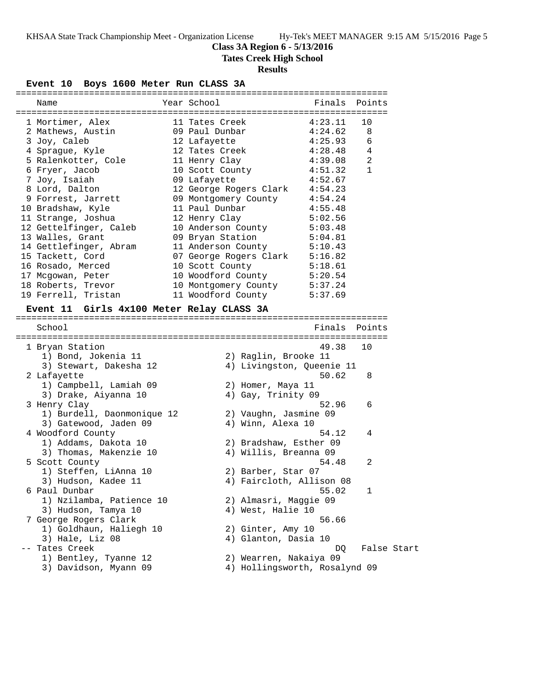# **Class 3A Region 6 - 5/13/2016**

**Tates Creek High School**

## **Results**

**Event 10 Boys 1600 Meter Run CLASS 3A**

| Name                                      | Year School                                           | Finals Points         |                |  |
|-------------------------------------------|-------------------------------------------------------|-----------------------|----------------|--|
| 1 Mortimer, Alex                          | 11 Tates Creek 4:23.11                                |                       | 10             |  |
| 2 Mathews, Austin                         | 09 Paul Dunbar $4:24.62$                              |                       | 8              |  |
| 3 Joy, Caleb                              | 12 Lafayette                                          | 4:25.93               | 6              |  |
| 4 Sprague, Kyle                           | 12 Tates Creek                                        | 4:28.48               | $\overline{4}$ |  |
| 5 Ralenkotter, Cole                       | 11 Henry Clay                                         | 4:39.08               | $\overline{2}$ |  |
| 6 Fryer, Jacob                            | 10 Scott County 4:51.32                               |                       | 1              |  |
| 7 Joy, Isaiah                             | 09 Lafayette                                          | 4:52.67               |                |  |
| 8 Lord, Dalton                            | 12 George Rogers Clark 4:54.23                        |                       |                |  |
| 9 Forrest, Jarrett                        | 09 Montgomery County 4:54.24                          |                       |                |  |
| 10 Bradshaw, Kyle                         |                                                       | 4:55.48               |                |  |
| 11 Strange, Joshua                        | 11 Paul Dunbar<br>12 Henry Clay                       | $\frac{1}{5}$ : 02.56 |                |  |
| 12 Gettelfinger, Caleb                    | 10 Anderson County 5:03.48                            |                       |                |  |
| 13 Walles, Grant                          | 09 Bryan Station                                      | 5:04.81               |                |  |
| 14 Gettlefinger, Abram                    | 11 Anderson County 5:10.43                            |                       |                |  |
| 15 Tackett, Cord                          | 07 George Rogers Clark 5:16.82                        |                       |                |  |
| 16 Rosado, Merced                         |                                                       |                       |                |  |
| 17 Mcgowan, Peter                         | 10 Scott County 5:18.61<br>10 Woodford County 5:20.54 |                       |                |  |
| 18 Roberts, Trevor                        | 10 Montgomery County 5:37.24                          |                       |                |  |
| 19 Ferrell, Tristan                       | 11 Woodford County 5:37.69                            |                       |                |  |
| Event 11 Girls 4x100 Meter Relay CLASS 3A |                                                       |                       |                |  |
| School                                    |                                                       | Finals Points         |                |  |
| 1 Bryan Station                           |                                                       | 49.38                 | 10             |  |
| 1) Bond, Jokenia 11                       | 2) Raglin, Brooke 11                                  |                       |                |  |
| 3) Stewart, Dakesha 12                    | 4) Livingston, Queenie 11                             |                       |                |  |
| 2 Lafayette                               |                                                       | 50.62                 | 8              |  |
| 1) Campbell, Lamiah 09                    | 2) Homer, Maya 11                                     |                       |                |  |
| 3) Drake, Aiyanna 10                      | 4) Gay, Trinity 09                                    |                       |                |  |
| 3 Henry Clay                              |                                                       | 52.96                 | 6              |  |
| 1) Burdell, Daonmonique 12                |                                                       |                       |                |  |
| 3) Gatewood, Jaden 09                     | 2) Vaughn, Jasmine 09<br>4) Winn, Alexa 10            |                       |                |  |
|                                           |                                                       | 54.12                 | 4              |  |
| 4 Woodford County<br>1) Addams, Dakota 10 | 2) Bradshaw, Esther 09                                |                       |                |  |
| 3) Thomas, Makenzie 10                    | 4) Willis, Breanna 09                                 |                       |                |  |
|                                           |                                                       | 54.48                 | 2              |  |
| 5 Scott County                            |                                                       |                       |                |  |
| 1) Steffen, LiAnna 10                     | 2) Barber, Star 07                                    |                       |                |  |
| 3) Hudson, Kadee 11                       | 4) Faircloth, Allison 08                              |                       |                |  |
|                                           |                                                       | 55.02                 | 1              |  |
| 6 Paul Dunbar                             |                                                       |                       |                |  |
| 1) Nzilamba, Patience 10                  | 2) Almasri, Maggie 09                                 |                       |                |  |
| 3) Hudson, Tamya 10                       | 4) West, Halie 10                                     |                       |                |  |
| 7 George Rogers Clark                     |                                                       | 56.66                 |                |  |
| 1) Goldhaun, Haliegh 10                   | 2) Ginter, Amy 10                                     |                       |                |  |
| 3) Hale, Liz 08<br>Tates Creek            | 4) Glanton, Dasia 10                                  | DQ                    | False Start    |  |

- 
- 1) Bentley, Tyanne 12 2) Wearren, Nakaiya 09
- 3) Davidson, Myann 09 4) Hollingsworth, Rosalynd 09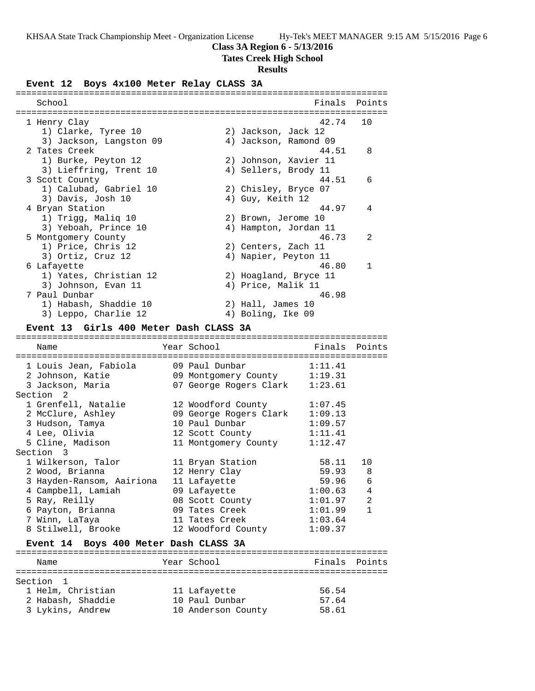# **Class 3A Region 6 - 5/13/2016**

# **Tates Creek High School**

# **Results**

# **Event 12 Boys 4x100 Meter Relay CLASS 3A**

| School                                 |             |  | Finals                | Points         |
|----------------------------------------|-------------|--|-----------------------|----------------|
|                                        |             |  |                       |                |
| 1 Henry Clay                           |             |  | 42.74                 | 10             |
| 1) Clarke, Tyree 10                    |             |  | 2) Jackson, Jack 12   |                |
| 3) Jackson, Langston 09                |             |  | 4) Jackson, Ramond 09 |                |
| 2 Tates Creek                          |             |  | 44.51                 | 8              |
| 1) Burke, Peyton 12                    |             |  | 2) Johnson, Xavier 11 |                |
| 3) Lieffring, Trent 10                 |             |  | 4) Sellers, Brody 11  |                |
| 3 Scott County                         |             |  | 44.51                 | 6              |
| 1) Calubad, Gabriel 10                 |             |  | 2) Chisley, Bryce 07  |                |
| 3) Davis, Josh 10                      |             |  | 4) Guy, Keith 12      |                |
| 4 Bryan Station                        |             |  | 44.97                 | 4              |
| 1) Trigg, Malig 10                     |             |  | 2) Brown, Jerome 10   |                |
| 3) Yeboah, Prince 10                   |             |  | 4) Hampton, Jordan 11 |                |
| 5 Montgomery County                    |             |  | 46.73                 | $\mathfrak{D}$ |
| 1) Price, Chris 12                     |             |  | 2) Centers, Zach 11   |                |
| 3) Ortiz, Cruz 12                      |             |  | 4) Napier, Peyton 11  |                |
| 6 Lafayette                            |             |  | 46.80                 | $\mathbf{1}$   |
| 1) Yates, Christian 12                 |             |  | 2) Hoagland, Bryce 11 |                |
| 3) Johnson, Evan 11                    |             |  | 4) Price, Malik 11    |                |
| 7 Paul Dunbar                          |             |  | 46.98                 |                |
| 1) Habash, Shaddie 10                  |             |  | 2) Hall, James 10     |                |
| 3) Leppo, Charlie 12                   |             |  | 4) Boling, Ike 09     |                |
| Event 13 Girls 400 Meter Dash CLASS 3A |             |  |                       |                |
|                                        |             |  |                       |                |
| Name                                   | Year School |  | Finals                | Points         |
|                                        |             |  |                       |                |

| <b>Natue</b>                          | rear ponon-                 | F III TIS           | POINLS         |
|---------------------------------------|-----------------------------|---------------------|----------------|
|                                       |                             |                     |                |
| 1 Louis Jean, Fabiola                 | 09 Paul Dunbar              | 1:11.41             |                |
| 2 Johnson, Katie                      | 09 Montgomery County        | 1:19.31             |                |
| 3 Jackson, Maria                      | 07 George Rogers Clark      | 1:23.61             |                |
| Section 2                             |                             |                     |                |
| 1 Grenfell, Natalie                   | 12 Woodford County          | 1:07.45             |                |
| 2 McClure, Ashley                     | 09 George Rogers Clark      | 1:09.13             |                |
| 3 Hudson, Tamya                       | 10 Paul Dunbar              | 1:09.57             |                |
| 4 Lee, Olivia                         | $12$ Scott County $1:11.41$ |                     |                |
| 5 Cline, Madison                      | 11 Montgomery County        | 1:12.47             |                |
| Section 3                             |                             |                     |                |
| 1 Wilkerson, Talor                    | 11 Bryan Station            | 58.11               | 10             |
| 2 Wood, Brianna                       | 12 Henry Clay               | 59.93 8             |                |
| 3 Hayden-Ransom, Aairiona             | 11 Lafayette                | 59.96               | 6              |
| 4 Campbell, Lamiah                    | 09 Lafayette                | 1:00.63             | $\overline{4}$ |
| 5 Ray, Reilly                         | 08 Scott County             | 1:01.97             | $\overline{2}$ |
| 6 Payton, Brianna                     | 09 Tates Creek              | 1:01.99             | $\mathbf{1}$   |
| 7 Winn, LaTaya                        | 11 Tates Creek              | 1:03.64             |                |
| 8 Stilwell, Brooke                    | 12 Woodford County          | 1:09.37             |                |
|                                       |                             |                     |                |
| Event 14 Boys 400 Meter Dash CLASS 3A |                             |                     |                |
| $N \cap m \cap$                       | Voor Cabool                 | $F_{1}$ nala Dointa |                |

| Name              | Year School        | Finals Points |  |
|-------------------|--------------------|---------------|--|
| Section 1         |                    |               |  |
| 1 Helm, Christian | 11 Lafayette       | 56.54         |  |
| 2 Habash, Shaddie | 10 Paul Dunbar     | 57.64         |  |
| 3 Lykins, Andrew  | 10 Anderson County | 58.61         |  |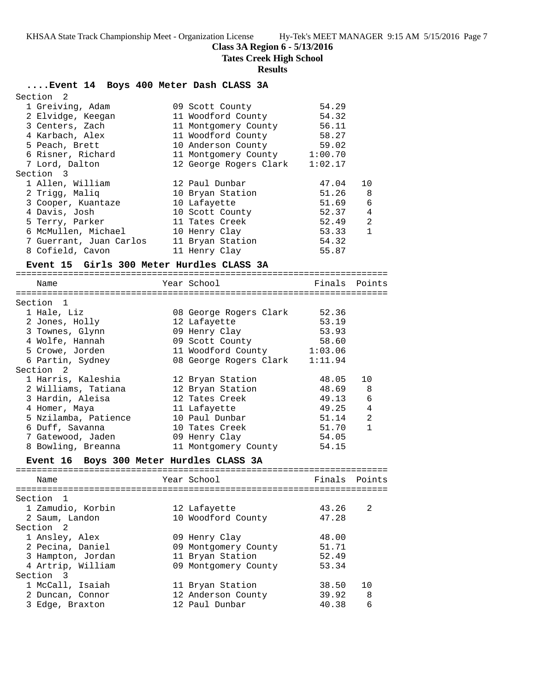**Class 3A Region 6 - 5/13/2016**

**Tates Creek High School**

### **Results**

## **....Event 14 Boys 400 Meter Dash CLASS 3A**

| Section <sub>2</sub>    |                              |         |                |
|-------------------------|------------------------------|---------|----------------|
| 1 Greiving, Adam        | 09 Scott County              | 54.29   |                |
| 2 Elvidge, Keegan       | 11 Woodford County           | 54.32   |                |
| 3 Centers, Zach         | 11 Montgomery County         | 56.11   |                |
| 4 Karbach, Alex         | 11 Woodford County           | 58.27   |                |
| 5 Peach, Brett          | 10 Anderson County           | 59.02   |                |
| 6 Risner, Richard       | 11 Montgomery County 1:00.70 |         |                |
| 7 Lord, Dalton          | 12 George Rogers Clark       | 1:02.17 |                |
| Section 3               |                              |         |                |
| 1 Allen, William        | 12 Paul Dunbar               | 47.04   | 10             |
| 2 Trigg, Malig          | 10 Bryan Station             | 51.26   | 8              |
| 3 Cooper, Kuantaze      | 10 Lafayette                 | 51.69   | 6              |
| 4 Davis, Josh           | 10 Scott County              | 52.37   | $\overline{4}$ |
| 5 Terry, Parker         | 11 Tates Creek               | 52.49   | 2              |
| 6 McMullen, Michael     | 10 Henry Clay                | 53.33   | $\mathbf{1}$   |
| 7 Guerrant, Juan Carlos | 11 Bryan Station             | 54.32   |                |
| 8 Cofield, Cavon        | 11 Henry Clay                | 55.87   |                |

### **Event 15 Girls 300 Meter Hurdles CLASS 3A**

| Name                                     | Year School                 | Finals Points |                |
|------------------------------------------|-----------------------------|---------------|----------------|
| =====================                    | =========================== |               |                |
| Section 1                                |                             |               |                |
| 1 Hale, Liz                              | 08 George Rogers Clark      | 52.36         |                |
| 2 Jones, Holly                           | 12 Lafayette                | 53.19         |                |
| 3 Townes, Glynn                          | 09 Henry Clay               | 53.93         |                |
| 4 Wolfe, Hannah                          | 09 Scott County 58.60       |               |                |
| 5 Crowe, Jorden                          | 11 Woodford County 1:03.06  |               |                |
| 6 Partin, Sydney                         | 08 George Rogers Clark      | 1:11.94       |                |
| Section <sub>2</sub>                     |                             |               |                |
| 1 Harris, Kaleshia                       | 12 Bryan Station            | 48.05         | 10             |
| 2 Williams, Tatiana                      | 12 Bryan Station            | 48.69         | 8              |
| 3 Hardin, Aleisa                         | 12 Tates Creek              | 49.13         | 6              |
| 4 Homer, Maya                            | 11 Lafayette                | 49.25         | $\overline{4}$ |
| 5 Nzilamba, Patience                     | 10 Paul Dunbar              | 51.14         | $\overline{2}$ |
| 6 Duff, Savanna                          | 10 Tates Creek              | 51.70         | $\mathbf{1}$   |
| 7 Gatewood, Jaden                        | 09 Henry Clay               | 54.05         |                |
| 8 Bowling, Breanna                       | 11 Montgomery County        | 54.15         |                |
| Event 16 Boys 300 Meter Hurdles CLASS 3A |                             |               |                |
|                                          |                             |               |                |
| Name                                     | Year School                 | Finals        | Points         |
|                                          |                             |               |                |
| Section 1                                |                             |               |                |
| 1 Zamudio, Korbin                        | 12 Lafayette                | 43.26         | $\mathfrak{D}$ |
| 2 Saum, Landon                           | 10 Woodford County          | 47.28         |                |
| Section <sub>2</sub>                     |                             |               |                |
| 1 Ansley, Alex                           | 09 Henry Clay               | 48.00         |                |

| $\pm$ 1.11.10 $\pm$ C $\lambda$ $\lambda$ 1.1 $\pm$ C $\lambda$ |  | $0.5$ ficing $0.5$   | . <i>.</i> |    |
|-----------------------------------------------------------------|--|----------------------|------------|----|
| 2 Pecina, Daniel                                                |  | 09 Montgomery County | 51.71      |    |
| 3 Hampton, Jordan                                               |  | 11 Bryan Station     | 52.49      |    |
| 4 Artrip, William                                               |  | 09 Montgomery County | 53.34      |    |
| Section 3                                                       |  |                      |            |    |
| 1 McCall, Isaiah                                                |  | 11 Bryan Station     | 38.50      | 10 |
| 2 Duncan, Connor                                                |  | 12 Anderson County   | 39.92      | -8 |

3 Edge, Braxton 12 Paul Dunbar 40.38 6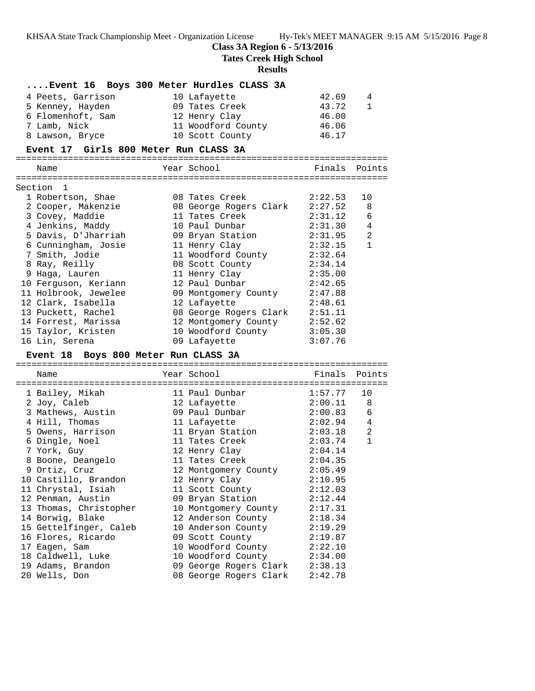## **Class 3A Region 6 - 5/13/2016**

**Tates Creek High School**

#### **Results**

# **....Event 16 Boys 300 Meter Hurdles CLASS 3A** 4 Peets, Garrison 10 Lafayette 42.69 4 5 Kenney, Hayden 09 Tates Creek 43.72 1 6 Flomenhoft, Sam 12 Henry Clay 46.00 7 Lamb, Nick 11 Woodford County 46.06 8 Lawson, Bryce 10 Scott County 46.17 **Event 17 Girls 800 Meter Run CLASS 3A** ======================================================================= Name **Example 28** Year School **Finals Points** ======================================================================= Section 1 1 Robertson, Shae 08 Tates Creek 2:22.53 10 2 Cooper, Makenzie 08 George Rogers Clark 2:27.52 8 3 Covey, Maddie 11 Tates Creek 2:31.12 6 4 Jenkins, Maddy 10 Paul Dunbar 2:31.30 4 5 Davis, D'Jharriah 09 Bryan Station 2:31.95 2 6 Cunningham, Josie 11 Henry Clay 2:32.15 1 7 Smith, Jodie 11 Woodford County 2:32.64

| 7 Smith, Jodie       | 11 Woodford County     | 2:32.64 |
|----------------------|------------------------|---------|
| 8 Ray, Reilly        | 08 Scott County        | 2:34.14 |
| 9 Haga, Lauren       | 11 Henry Clay          | 2:35.00 |
| 10 Ferguson, Keriann | 12 Paul Dunbar         | 2:42.65 |
| 11 Holbrook, Jewelee | 09 Montgomery County   | 2:47.88 |
| 12 Clark, Isabella   | 12 Lafayette           | 2:48.61 |
| 13 Puckett, Rachel   | 08 George Rogers Clark | 2:51.11 |
| 14 Forrest, Marissa  | 12 Montgomery County   | 2:52.62 |
| 15 Taylor, Kristen   | 10 Woodford County     | 3:05.30 |
| 16 Lin, Serena       | 09 Lafayette           | 3:07.76 |

#### **Event 18 Boys 800 Meter Run CLASS 3A**

| :===================== | ====================           |               |                |
|------------------------|--------------------------------|---------------|----------------|
| Name                   | Year School                    | Finals Points |                |
| 1 Bailey, Mikah        | 11 Paul Dunbar                 | 1:57.77       | 10             |
| 2 Joy, Caleb           | $12$ Lafayette $2:00.11$       |               | 8              |
| 3 Mathews, Austin      |                                |               | $\epsilon$     |
| 4 Hill, Thomas         | 11 Lafayette                   | 2:02.94       | $\overline{4}$ |
| 5 Owens, Harrison      | 11 Bryan Station 2:03.18       |               | 2              |
| 6 Dingle, Noel         | $11$ Tates Creek $2:03.74$     |               | $\mathbf{1}$   |
| 7 York, Guy            | 12 Henry Clay $2:04.14$        |               |                |
| 8 Boone, Deangelo      | 11 Tates Creek $2:04.35$       |               |                |
| 9 Ortiz, Cruz          | 12 Montgomery County 2:05.49   |               |                |
| 10 Castillo, Brandon   | 12 Henry Clay 2:10.95          |               |                |
| 11 Chrystal, Isiah     | 11 Scott County 2:12.03        |               |                |
| 12 Penman, Austin      | 09 Bryan Station 2:12.44       |               |                |
| 13 Thomas, Christopher | 10 Montgomery County 2:17.31   |               |                |
| 14 Borwig, Blake       | 12 Anderson County 2:18.34     |               |                |
| 15 Gettelfinger, Caleb | 10 Anderson County 2:19.29     |               |                |
| 16 Flores, Ricardo     | 09 Scott County 2:19.87        |               |                |
| 17 Eagen, Sam          | 10 Woodford County 2:22.10     |               |                |
| 18 Caldwell, Luke      | 10 Woodford County 2:34.00     |               |                |
| 19 Adams, Brandon      | 09 George Rogers Clark 2:38.13 |               |                |
| 20 Wells, Don          | 08 George Rogers Clark         | 2:42.78       |                |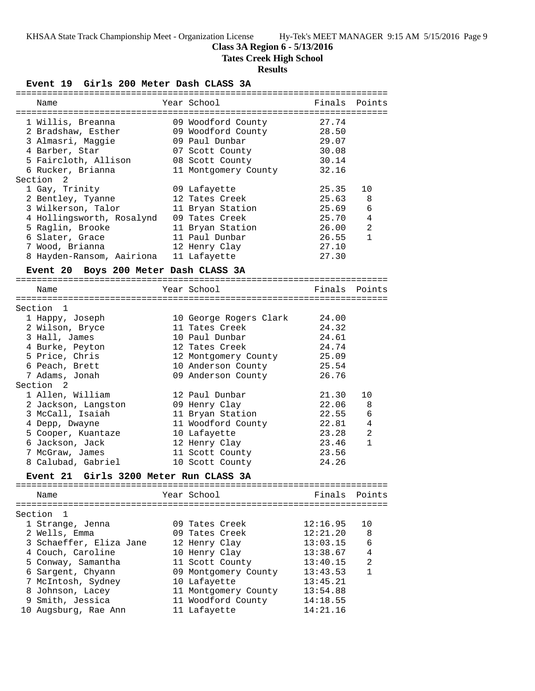### **Class 3A Region 6 - 5/13/2016**

**Tates Creek High School**

#### **Results**

**Event 19 Girls 200 Meter Dash CLASS 3A** ======================================================================= Name The Year School The Points Points Points ======================================================================= 1 Willis, Breanna 09 Woodford County 27.74 2 Bradshaw, Esther 09 Woodford County 28.50 3 Almasri, Maggie 09 Paul Dunbar 29.07 4 Barber, Star 07 Scott County 30.08 5 Faircloth, Allison 08 Scott County 30.14 6 Rucker, Brianna 11 Montgomery County 32.16 Section 2 1 Gay, Trinity 09 Lafayette 25.35 10 2 Bentley, Tyanne 12 Tates Creek 25.63 8 3 Wilkerson, Talor 11 Bryan Station 25.69 6 4 Hollingsworth, Rosalynd 09 Tates Creek 25.70 4 5 Raglin, Brooke 11 Bryan Station 26.00 2 6 Slater, Grace 11 Paul Dunbar 26.55 1 7 Wood, Brianna 12 Henry Clay 27.10 8 Hayden-Ransom, Aairiona 11 Lafayette 27.30 **Event 20 Boys 200 Meter Dash CLASS 3A** ======================================================================= Name The Year School The Finals Points ======================================================================= Section 1 1 Happy, Joseph 10 George Rogers Clark 24.00 2 Wilson, Bryce 11 Tates Creek 24.32 3 Hall, James 10 Paul Dunbar 24.61 4 Burke, Peyton 12 Tates Creek 24.74 5 Price, Chris 12 Montgomery County 25.09 6 Peach, Brett 10 Anderson County 25.54 7 Adams, Jonah 09 Anderson County 26.76 Section 2 1 Allen, William 12 Paul Dunbar 21.30 10 2 Jackson, Langston 09 Henry Clay 22.06 8 3 McCall, Isaiah 11 Bryan Station 22.55 6 4 Depp, Dwayne 11 Woodford County 22.81 4 5 Cooper, Kuantaze 10 Lafayette 23.28 2 6 Jackson, Jack 12 Henry Clay 23.46 1 7 McGraw, James 11 Scott County 23.56 8 Calubad, Gabriel 10 Scott County 24.26 **Event 21 Girls 3200 Meter Run CLASS 3A** ======================================================================= Name The Year School Controll of Finals Points ======================================================================= Section 1 1 Strange, Jenna 09 Tates Creek 12:16.95 10 2 Wells, Emma 09 Tates Creek 12:21.20 8 3 Schaeffer, Eliza Jane 12 Henry Clay 13:03.15 6 4 Couch, Caroline 10 Henry Clay 13:38.67 4 5 Conway, Samantha 11 Scott County 13:40.15 2 6 Sargent, Chyann 09 Montgomery County 13:43.53 1 7 McIntosh, Sydney 10 Lafayette 13:45.21 8 Johnson, Lacey 11 Montgomery County 13:54.88 9 Smith, Jessica 11 Woodford County 14:18.55 10 Augsburg, Rae Ann 11 Lafayette 14:21.16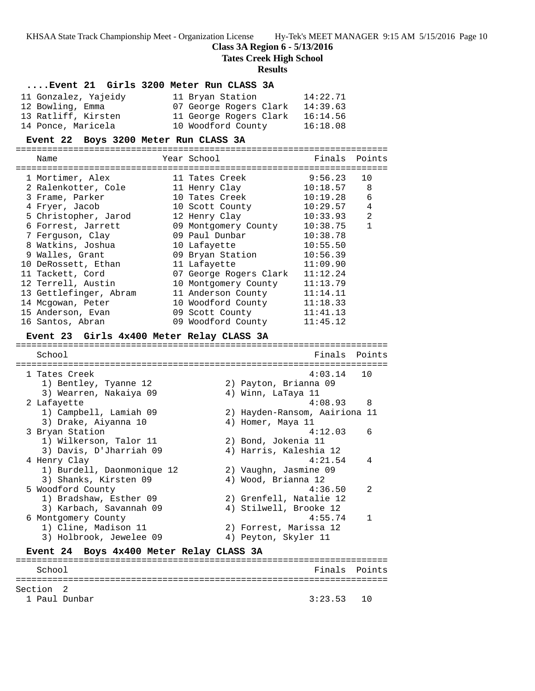### **Class 3A Region 6 - 5/13/2016**

**Tates Creek High School**

#### **Results**

### **....Event 21 Girls 3200 Meter Run CLASS 3A**

| 11 Gonzalez, Yajeidy | 11 Bryan Station       | 14:22.71 |
|----------------------|------------------------|----------|
| 12 Bowling, Emma     | 07 George Rogers Clark | 14:39.63 |
| 13 Ratliff, Kirsten  | 11 George Rogers Clark | 16:14.56 |
| 14 Ponce, Maricela   | 10 Woodford County     | 16:18.08 |

#### **Event 22 Boys 3200 Meter Run CLASS 3A**

=======================================================================

| Name                   | Year School            | Finals   | Points |
|------------------------|------------------------|----------|--------|
| 1 Mortimer, Alex       | 11 Tates Creek         | 9:56.23  | 10     |
| 2 Ralenkotter, Cole    | 11 Henry Clay          | 10:18.57 | 8      |
| 3 Frame, Parker        | 10 Tates Creek         | 10:19.28 | 6      |
| 4 Fryer, Jacob         | 10 Scott County        | 10:29.57 | 4      |
| 5 Christopher, Jarod   | 12 Henry Clay          | 10:33.93 | 2      |
| 6 Forrest, Jarrett     | 09 Montgomery County   | 10:38.75 | 1      |
| 7 Ferguson, Clay       | 09 Paul Dunbar         | 10:38.78 |        |
| 8 Watkins, Joshua      | 10 Lafayette           | 10:55.50 |        |
| 9 Walles, Grant        | 09 Bryan Station       | 10:56.39 |        |
| 10 DeRossett, Ethan    | 11 Lafayette           | 11:09.90 |        |
| 11 Tackett, Cord       | 07 George Rogers Clark | 11:12.24 |        |
| 12 Terrell, Austin     | 10 Montgomery County   | 11:13.79 |        |
| 13 Gettlefinger, Abram | 11 Anderson County     | 11:14.11 |        |
| 14 Mcgowan, Peter      | 10 Woodford County     | 11:18.33 |        |
| 15 Anderson, Evan      | 09 Scott County        | 11:41.13 |        |
| 16 Santos, Abran       | 09 Woodford County     | 11:45.12 |        |

#### **Event 23 Girls 4x400 Meter Relay CLASS 3A**

======================================================================= School **Finals** Points ======================================================================= 1 Tates Creek 4:03.14 10 1) Bentley, Tyanne 12 2) Payton, Brianna 09 3) Wearren, Nakaiya 09 4) Winn, LaTaya 11 2 Lafayette 4:08.93 8 1) Campbell, Lamiah 09 2) Hayden-Ransom, Aairiona 11 3) Drake, Aiyanna 10  $\hskip1cm$  4) Homer, Maya 11 3 Bryan Station 4:12.03 6 1) Wilkerson, Talor 11 2) Bond, Jokenia 11 3) Davis, D'Jharriah 09 4) Harris, Kaleshia 12 4 Henry Clay 4:21.54 4 1) Burdell, Daonmonique 12 2) Vaughn, Jasmine 09 3) Shanks, Kirsten 09 (4) Wood, Brianna 12 5 Woodford County 4:36.50 2 1) Bradshaw, Esther 09 2) Grenfell, Natalie 12 3) Karbach, Savannah 09 4) Stilwell, Brooke 12 6 Montgomery County 4:55.74 1 1) Cline, Madison 11 2) Forrest, Marissa 12 3) Holbrook, Jewelee 09 <a>> 4) Peyton, Skyler 11 **Event 24 Boys 4x400 Meter Relay CLASS 3A**

## ======================================================================= School **Finals** Points ======================================================================= Section 2 1 Paul Dunbar 3:23.53 10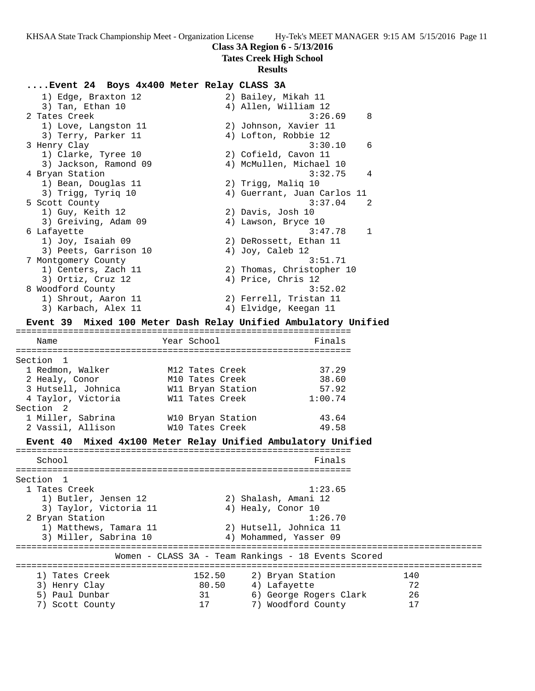# **Class 3A Region 6 - 5/13/2016**

**Tates Creek High School**

## **Results**

# **....Event 24 Boys 4x400 Meter Relay CLASS 3A**

|         | 1) Edge, Braxton 12                                            |                   |                    | 2) Bailey, Mikah 11                                 |     |
|---------|----------------------------------------------------------------|-------------------|--------------------|-----------------------------------------------------|-----|
|         | 3) Tan, Ethan 10                                               |                   |                    | 4) Allen, William 12                                |     |
|         | 2 Tates Creek                                                  |                   |                    | 3:26.69                                             | 8   |
|         | 1) Love, Langston 11                                           |                   |                    | 2) Johnson, Xavier 11                               |     |
|         | 3) Terry, Parker 11                                            |                   |                    | 4) Lofton, Robbie 12                                |     |
|         | 3 Henry Clay                                                   |                   |                    | 3:30.10                                             | 6   |
|         | 1) Clarke, Tyree 10                                            |                   |                    | 2) Cofield, Cavon 11                                |     |
|         | 3) Jackson, Ramond 09                                          |                   |                    | 4) McMullen, Michael 10                             |     |
|         | 4 Bryan Station                                                |                   |                    | 3:32.75                                             | 4   |
|         | 1) Bean, Douglas 11                                            |                   | 2) Trigg, Maliq 10 |                                                     |     |
|         | 3) Trigg, Tyriq 10                                             |                   |                    | 4) Guerrant, Juan Carlos 11<br>3:37.04              | 2   |
|         | 5 Scott County<br>1) Guy, Keith 12                             |                   | 2) Davis, Josh 10  |                                                     |     |
|         |                                                                |                   |                    | 4) Lawson, Bryce 10                                 |     |
|         | 3) Greiving, Adam 09                                           |                   |                    | 3:47.78                                             | 1   |
|         | 6 Lafayette<br>1) Joy, Isaiah 09                               |                   |                    | 2) DeRossett, Ethan 11                              |     |
|         | 3) Peets, Garrison 10                                          |                   |                    |                                                     |     |
|         |                                                                |                   | 4) Joy, Caleb 12   | 3:51.71                                             |     |
|         | 7 Montgomery County<br>1) Centers, Zach 11                     |                   |                    | 2) Thomas, Christopher 10                           |     |
|         | 3) Ortiz, Cruz 12                                              |                   |                    |                                                     |     |
|         | 8 Woodford County                                              |                   | 4) Price, Chris 12 | 3:52.02                                             |     |
|         | 1) Shrout, Aaron 11                                            |                   |                    | 2) Ferrell, Tristan 11                              |     |
|         |                                                                |                   |                    | 4) Elvidge, Keegan 11                               |     |
|         | 3) Karbach, Alex 11                                            |                   |                    |                                                     |     |
|         | Event 39 Mixed 100 Meter Dash Relay Unified Ambulatory Unified |                   |                    |                                                     |     |
|         | Name                                                           | Year School       |                    | Finals                                              |     |
|         |                                                                |                   |                    |                                                     |     |
|         | Section 1                                                      |                   |                    |                                                     |     |
|         | 1 Redmon, Walker                                               | M12 Tates Creek   |                    | 37.29                                               |     |
|         | 2 Healy, Conor                                                 | M10 Tates Creek   |                    | 38.60                                               |     |
|         | 3 Hutsell, Johnica                                             | W11 Bryan Station |                    | 57.92                                               |     |
|         | 4 Taylor, Victoria                                             | W11 Tates Creek   |                    | 1:00.74                                             |     |
|         | Section 2                                                      |                   |                    |                                                     |     |
|         | 1 Miller, Sabrina                                              | W10 Bryan Station |                    | 43.64                                               |     |
|         | 2 Vassil, Allison                                              | W10 Tates Creek   |                    | 49.58                                               |     |
|         |                                                                |                   |                    |                                                     |     |
|         | Event 40 Mixed 4x100 Meter Relay Unified Ambulatory Unified    |                   |                    |                                                     |     |
|         | School                                                         |                   |                    | Finals                                              |     |
|         |                                                                |                   |                    |                                                     |     |
| Section | $\mathbf{1}$                                                   |                   |                    |                                                     |     |
|         | 1 Tates Creek                                                  |                   |                    | 1:23.65                                             |     |
|         | 1) Butler, Jensen 12                                           |                   |                    | 2) Shalash, Amani 12                                |     |
|         | 3) Taylor, Victoria 11                                         |                   | 4) Healy, Conor 10 |                                                     |     |
|         | 2 Bryan Station                                                |                   |                    | 1:26.70                                             |     |
|         | 1) Matthews, Tamara 11                                         |                   |                    | 2) Hutsell, Johnica 11                              |     |
|         | 3) Miller, Sabrina 10                                          |                   |                    | 4) Mohammed, Yasser 09                              |     |
|         |                                                                |                   |                    |                                                     |     |
|         |                                                                |                   |                    | Women - CLASS 3A - Team Rankings - 18 Events Scored |     |
|         | 1) Tates Creek                                                 | 152.50            |                    | 2) Bryan Station                                    | 140 |
|         | 3) Henry Clay                                                  | 80.50             |                    | 4) Lafayette                                        | 72  |
|         | 5) Paul Dunbar                                                 |                   |                    |                                                     |     |
|         |                                                                | 31                |                    | 6) George Rogers Clark                              | 26  |